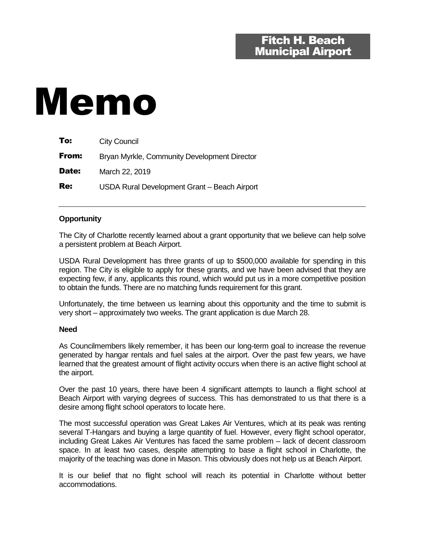# Memo

| To:   | <b>City Council</b>                          |
|-------|----------------------------------------------|
| From: | Bryan Myrkle, Community Development Director |
| Date: | March 22, 2019                               |
| Re:   | USDA Rural Development Grant - Beach Airport |

## **Opportunity**

The City of Charlotte recently learned about a grant opportunity that we believe can help solve a persistent problem at Beach Airport.

USDA Rural Development has three grants of up to \$500,000 available for spending in this region. The City is eligible to apply for these grants, and we have been advised that they are expecting few, if any, applicants this round, which would put us in a more competitive position to obtain the funds. There are no matching funds requirement for this grant.

Unfortunately, the time between us learning about this opportunity and the time to submit is very short – approximately two weeks. The grant application is due March 28.

#### **Need**

As Councilmembers likely remember, it has been our long-term goal to increase the revenue generated by hangar rentals and fuel sales at the airport. Over the past few years, we have learned that the greatest amount of flight activity occurs when there is an active flight school at the airport.

Over the past 10 years, there have been 4 significant attempts to launch a flight school at Beach Airport with varying degrees of success. This has demonstrated to us that there is a desire among flight school operators to locate here.

The most successful operation was Great Lakes Air Ventures, which at its peak was renting several T-Hangars and buying a large quantity of fuel. However, every flight school operator, including Great Lakes Air Ventures has faced the same problem – lack of decent classroom space. In at least two cases, despite attempting to base a flight school in Charlotte, the majority of the teaching was done in Mason. This obviously does not help us at Beach Airport.

It is our belief that no flight school will reach its potential in Charlotte without better accommodations.